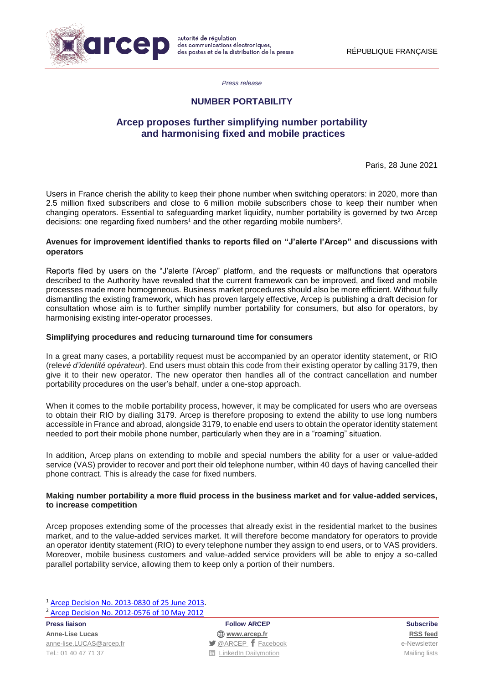

*Press release*

# **NUMBER PORTABILITY**

# **Arcep proposes further simplifying number portability and harmonising fixed and mobile practices**

Paris, 28 June 2021

Users in France cherish the ability to keep their phone number when switching operators: in 2020, more than 2.5 million fixed subscribers and close to 6 million mobile subscribers chose to keep their number when changing operators. Essential to safeguarding market liquidity, number portability is governed by two Arcep decisions: one regarding fixed numbers<sup>1</sup> and the other regarding mobile numbers<sup>2</sup>.

# **Avenues for improvement identified thanks to reports filed on "J'alerte l'Arcep" and discussions with operators**

Reports filed by users on the "J'alerte l'Arcep" platform, and the requests or malfunctions that operators described to the Authority have revealed that the current framework can be improved, and fixed and mobile processes made more homogeneous. Business market procedures should also be more efficient. Without fully dismantling the existing framework, which has proven largely effective, Arcep is publishing a draft decision for consultation whose aim is to further simplify number portability for consumers, but also for operators, by harmonising existing inter-operator processes.

# **Simplifying procedures and reducing turnaround time for consumers**

In a great many cases, a portability request must be accompanied by an operator identity statement, or RIO (rele*vé d'identité opérateur*). End users must obtain this code from their existing operator by calling 3179, then give it to their new operator. The new operator then handles all of the contract cancellation and number portability procedures on the user's behalf, under a one-stop approach.

When it comes to the mobile portability process, however, it may be complicated for users who are overseas to obtain their RIO by dialling 3179. Arcep is therefore proposing to extend the ability to use long numbers accessible in France and abroad, alongside 3179, to enable end users to obtain the operator identity statement needed to port their mobile phone number, particularly when they are in a "roaming" situation.

In addition, Arcep plans on extending to mobile and special numbers the ability for a user or value-added service (VAS) provider to recover and port their old telephone number, within 40 days of having cancelled their phone contract. This is already the case for fixed numbers.

#### **Making number portability a more fluid process in the business market and for value-added services, to increase competition**

Arcep proposes extending some of the processes that already exist in the residential market to the busines market, and to the value-added services market. It will therefore become mandatory for operators to provide an operator identity statement (RIO) to every telephone number they assign to end users, or to VAS providers. Moreover, mobile business customers and value-added service providers will be able to enjoy a so-called parallel portability service, allowing them to keep only a portion of their numbers.

**Press liaison Follow ARCEP Subscribe**

**Anne-Lise Lucas [www.arcep.fr](http://www.arcep.fr/) [RSS](/feed/::www.arcep.fr:?eID=tx_rssforge&feedid=2&h=14df1) feed** [anne-lise.LUCAS@arcep.fr](mailto:anne-lise.LUCAS@arcep.fr) **[@ARCEP](http://www.twitter.com/ARCEP) F** [Facebook](https://www.facebook.com/arcep.fr) e-Newsletter Tel.: 01 40 47 71 37 Mailing lists and TurkedIn [Dailymotion](http://www.dailymotion.com/ARCEP) Communication Mailing lists

 $\overline{a}$ <sup>1</sup> [Arcep Decision No. 2013-0830 of 25 June](https://www.arcep.fr/uploads/tx_gsavis/13-0830.pdf) 2013.

<sup>2</sup> [Arcep Decision No. 2012-0576 of 10 May](https://www.arcep.fr/uploads/tx_gsavis/12-0576.pdf) 2012